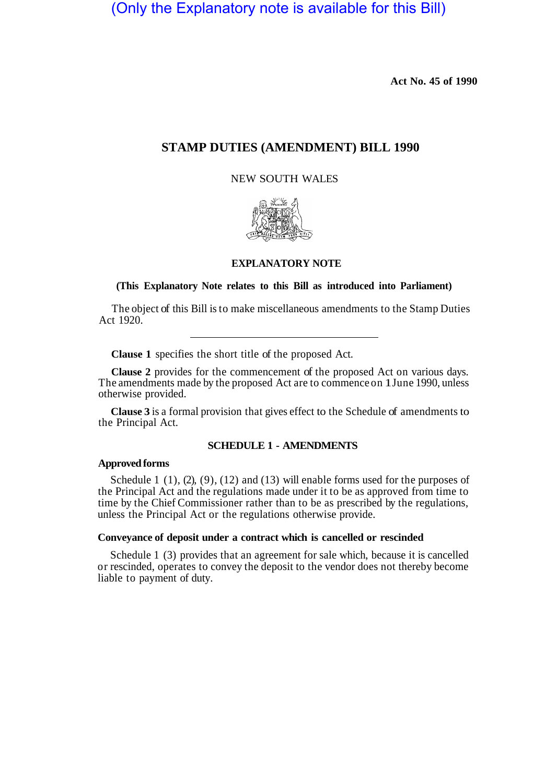(Only the Explanatory note is available for this Bill)

**Act No. 45 of 1990** 

# **STAMP DUTIES (AMENDMENT) BILL 1990**

NEW SOUTH WALES



#### **EXPLANATORY NOTE**

#### **(This Explanatory Note relates to this Bill as introduced into Parliament)**

The object of this Bill is to make miscellaneous amendments to the Stamp Duties Act 1920.

**Clause 1** specifies the short title of the proposed Act.

**Clause 2** provides for the commencement of the proposed Act on various days. The amendments made by the proposed Act are to commence on 1 June 1990, unless otherwise provided.

**Clause 3** is a formal provision that gives effect to the Schedule of amendments to the Principal Act.

# **SCHEDULE 1 - AMENDMENTS**

# **Approved forms**

Schedule 1  $(1)$ ,  $(2)$ ,  $(9)$ ,  $(12)$  and  $(13)$  will enable forms used for the purposes of the Principal Act and the regulations made under it to be as approved from time to time by the Chief Commissioner rather than to be as prescribed by the regulations, unless the Principal Act or the regulations otherwise provide.

#### **Conveyance of deposit under a contract which is cancelled or rescinded**

Schedule 1 (3) provides that an agreement for sale which, because it is cancelled or rescinded, operates to convey the deposit to the vendor does not thereby become liable to payment of duty.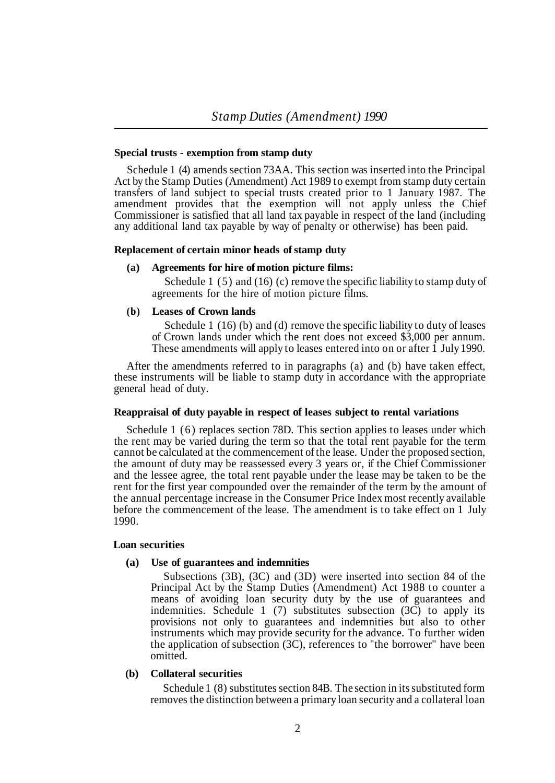# **Special trusts - exemption from stamp duty**

Schedule 1 (4) amends section 73AA. This section was inserted into the Principal Act by the Stamp Duties (Amendment) Act 1989 to exempt from stamp duty certain transfers of land subject to special trusts created prior to 1 January 1987. The amendment provides that the exemption will not apply unless the Chief Commissioner is satisfied that all land tax payable in respect of the land (including any additional land tax payable by way of penalty or otherwise) has been paid.

#### **Replacement of certain minor heads of stamp duty**

# **(a) Agreements for hire of motion picture films:**

Schedule 1 (5) and (16) (c) remove the specific liability to stamp duty of agreements for the hire of motion picture films.

# **(b) Leases of Crown lands**

Schedule 1 (16) (b) and (d) remove the specific liability to duty of leases of Crown lands under which the rent does not exceed \$3,000 per annum. These amendments will apply to leases entered into on or after  $\hat{1}$  July 1990.

After the amendments referred to in paragraphs (a) and (b) have taken effect, these instruments will be liable to stamp duty in accordance with the appropriate general head of duty.

# **Reappraisal of duty payable in respect of leases subject to rental variations**

Schedule 1 (6) replaces section 78D. This section applies to leases under which the rent may be varied during the term so that the total rent payable for the term cannot be calculated at the commencement of the lease. Under the proposed section, the amount of duty may be reassessed every 3 years or, if the Chief Commissioner and the lessee agree, the total rent payable under the lease may be taken to be the rent for the first year compounded over the remainder of the term by the amount of the annual percentage increase in the Consumer Price Index most recently available before the commencement of the lease. The amendment is to take effect on 1 July 1990.

#### **Loan securities**

#### **(a) Use of guarantees and indemnities**

Subsections (3B), (3C) and (3D) were inserted into section 84 of the Principal Act by the Stamp Duties (Amendment) Act 1988 to counter a means of avoiding loan security duty by the use of guarantees and indemnities. Schedule 1 (7) substitutes subsection  $(3\tilde{C})$  to apply its provisions not only to guarantees and indemnities but also to other instruments which may provide security for the advance. To further widen the application of subsection (3C), references to "the borrower" have been omitted.

# **(b) Collateral securities**

Schedule 1 (8) substitutes section 84B. The section in its substituted form removes the distinction between a primary loan security and a collateral loan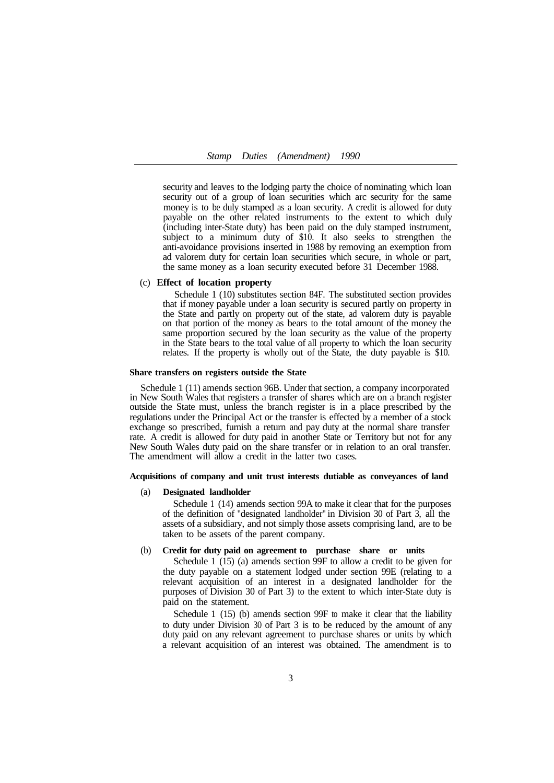# *Stamp Duties (Amendment) 1990*

security and leaves to the lodging party the choice of nominating which loan security out of a group of loan securities which arc security for the same money is to be duly stamped as a loan security. A credit is allowed for duty payable on the other related instruments to the extent to which duly (including inter-State duty) has been paid on the duly stamped instrument, subject to a minimum duty of \$10. It also seeks to strengthen the anti-avoidance provisions inserted in 1988 by removing an exemption from ad valorem duty for certain loan securities which secure, in whole or part, the same money as a loan security executed before 31 December 1988.

#### (c) **Effect of location property**

Schedule 1 (10) substitutes section 84F. The substituted section provides that if money payable under a loan security is secured partly on property in the State and partly on property out of the state, ad valorem duty is payable on that portion of the money as bears to the total amount of the money the same proportion secured by the loan security as the value of the property in the State bears to the total value of all property to which the loan security relates. If the property is wholly out of the State, the duty payable is \$10.

#### **Share transfers on registers outside the State**

Schedule 1 (11) amends section 96B. Under that section, a company incorporated in New South Wales that registers a transfer of shares which are on a branch register outside the State must, unless the branch register is in a place prescribed by the regulations under the Principal Act or the transfer is effected by a member of a stock exchange so prescribed, furnish a return and pay duty at the normal share transfer rate. A credit is allowed for duty paid in another State or Territory but not for any New South Wales duty paid on the share transfer or in relation to an oral transfer. The amendment will allow a credit in the latter two cases.

#### **Acquisitions of company and unit trust interests dutiable as conveyances of land**

#### (a) **Designated landholder**

Schedule 1 (14) amends section 99A to make it clear that for the purposes of the definition of "designated landholder" in Division 30 of Part 3, all the assets of a subsidiary, and not simply those assets comprising land, are to be taken to be assets of the parent company.

# (b) **Credit for duty paid on agreement to purchase share or units**

Schedule 1 (15) (a) amends section 99F to allow a credit to be given for the duty payable on a statement lodged under section 99E (relating to a relevant acquisition of an interest in a designated landholder for the purposes of Division 30 of Part 3) to the extent to which inter-State duty is paid on the statement.

to duty under Division 30 of Part 3 is to be reduced by the amount of any duty paid on any relevant agreement to purchase shares or units by which a relevant acquisition of an interest was obtained. The amendment is to Schedule 1 (15) (b) amends section 99F to make it clear that the liability